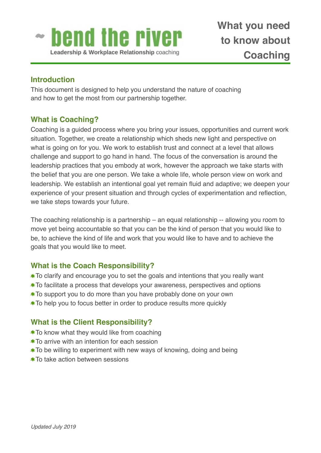

### **Introduction**

This document is designed to help you understand the nature of coaching and how to get the most from our partnership together.

## **What is Coaching?**

Coaching is a guided process where you bring your issues, opportunities and current work situation. Together, we create a relationship which sheds new light and perspective on what is going on for you. We work to establish trust and connect at a level that allows challenge and support to go hand in hand. The focus of the conversation is around the leadership practices that you embody at work, however the approach we take starts with the belief that you are one person. We take a whole life, whole person view on work and leadership. We establish an intentional goal yet remain fluid and adaptive; we deepen your experience of your present situation and through cycles of experimentation and reflection, we take steps towards your future.

The coaching relationship is a partnership – an equal relationship -- allowing you room to move yet being accountable so that you can be the kind of person that you would like to be, to achieve the kind of life and work that you would like to have and to achieve the goals that you would like to meet.

## **What is the Coach Responsibility?**

- **\*To clarify and encourage you to set the goals and intentions that you really want**
- \* To facilitate a process that develops your awareness, perspectives and options
- **\*** To support you to do more than you have probably done on your own
- \* To help you to focus better in order to produce results more quickly

## **What is the Client Responsibility?**

- **\* To know what they would like from coaching**
- **\*** To arrive with an intention for each session
- **\*** To be willing to experiment with new ways of knowing, doing and being
- **\*To take action between sessions**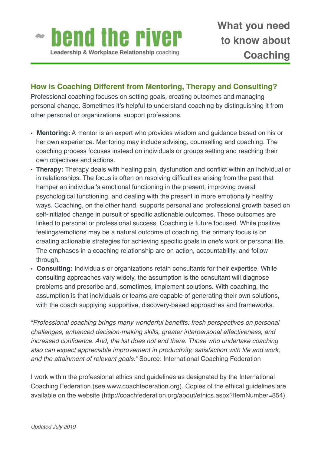

# **How is Coaching Different from Mentoring, Therapy and Consulting?**

Professional coaching focuses on setting goals, creating outcomes and managing personal change. Sometimes it's helpful to understand coaching by distinguishing it from other personal or organizational support professions.

- **Mentoring:** A mentor is an expert who provides wisdom and guidance based on his or her own experience. Mentoring may include advising, counselling and coaching. The coaching process focuses instead on individuals or groups setting and reaching their own objectives and actions.
- **Therapy:** Therapy deals with healing pain, dysfunction and conflict within an individual or in relationships. The focus is often on resolving difficulties arising from the past that hamper an individual's emotional functioning in the present, improving overall psychological functioning, and dealing with the present in more emotionally healthy ways. Coaching, on the other hand, supports personal and professional growth based on self-initiated change in pursuit of specific actionable outcomes. These outcomes are linked to personal or professional success. Coaching is future focused. While positive feelings/emotions may be a natural outcome of coaching, the primary focus is on creating actionable strategies for achieving specific goals in one's work or personal life. The emphases in a coaching relationship are on action, accountability, and follow through.
- **Consulting:** Individuals or organizations retain consultants for their expertise. While consulting approaches vary widely, the assumption is the consultant will diagnose problems and prescribe and, sometimes, implement solutions. With coaching, the assumption is that individuals or teams are capable of generating their own solutions, with the coach supplying supportive, discovery-based approaches and frameworks.

"*Professional coaching brings many wonderful benefits: fresh perspectives on personal challenges, enhanced decision-making skills, greater interpersonal effectiveness, and increased confidence. And, the list does not end there. Those who undertake coaching also can expect appreciable improvement in productivity, satisfaction with life and work, and the attainment of relevant goals."* Source: International Coaching Federation

I work within the professional ethics and guidelines as designated by the International Coaching Federation (see [www.coachfederation.org](http://www.coachfederation.org)). Copies of the ethical guidelines are available on the website [\(http://coachfederation.org/about/ethics.aspx?ItemNumber=854\)](http://coachfederation.org/about/ethics.aspx?ItemNumber=854)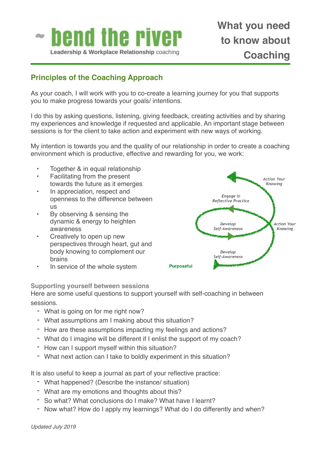

# **Principles of the Coaching Approach**

As your coach, I will work with you to co-create a learning journey for you that supports you to make progress towards your goals/ intentions.

I do this by asking questions, listening, giving feedback, creating activities and by sharing my experiences and knowledge if requested and applicable. An important stage between sessions is for the client to take action and experiment with new ways of working.

My intention is towards you and the quality of our relationship in order to create a coaching environment which is productive, effective and rewarding for you, we work:

- Together & in equal relationship
- Facilitating from the present towards the future as it emerges
- In appreciation, respect and openness to the difference between us
- By observing & sensing the dynamic & energy to heighten awareness
- Creatively to open up new perspectives through heart, gut and body knowing to complement our brains
- In service of the whole system



**Supporting yourself between sessions**

Here are some useful questions to support yourself with self-coaching in between sessions.

- What is going on for me right now?
- What assumptions am I making about this situation?
- How are these assumptions impacting my feelings and actions?
- What do I imagine will be different if I enlist the support of my coach?
- How can I support myself within this situation?
- What next action can I take to boldly experiment in this situation?

It is also useful to keep a journal as part of your reflective practice:

- What happened? (Describe the instance/ situation)
- What are my emotions and thoughts about this?
- So what? What conclusions do I make? What have I learnt?
- Now what? How do I apply my learnings? What do I do differently and when?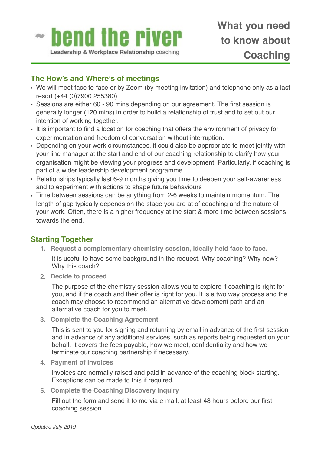

## **The How's and Where's of meetings**

- We will meet face to-face or by Zoom (by meeting invitation) and telephone only as a last resort (+44 (0)7900 255380)
- Sessions are either 60 90 mins depending on our agreement. The first session is generally longer (120 mins) in order to build a relationship of trust and to set out our intention of working together.
- It is important to find a location for coaching that offers the environment of privacy for experimentation and freedom of conversation without interruption.
- Depending on your work circumstances, it could also be appropriate to meet jointly with your line manager at the start and end of our coaching relationship to clarify how your organisation might be viewing your progress and development. Particularly, if coaching is part of a wider leadership development programme.
- Relationships typically last 6-9 months giving you time to deepen your self-awareness and to experiment with actions to shape future behaviours
- Time between sessions can be anything from 2-6 weeks to maintain momentum. The length of gap typically depends on the stage you are at of coaching and the nature of your work. Often, there is a higher frequency at the start & more time between sessions towards the end.

## **Starting Together**

**1. Request a complementary chemistry session, ideally held face to face.** 

It is useful to have some background in the request. Why coaching? Why now? Why this coach?

**2. Decide to proceed**

The purpose of the chemistry session allows you to explore if coaching is right for you, and if the coach and their offer is right for you. It is a two way process and the coach may choose to recommend an alternative development path and an alternative coach for you to meet.

**3. Complete the Coaching Agreement**

This is sent to you for signing and returning by email in advance of the first session and in advance of any additional services, such as reports being requested on your behalf. It covers the fees payable, how we meet, confidentiality and how we terminate our coaching partnership if necessary.

**4. Payment of invoices**

Invoices are normally raised and paid in advance of the coaching block starting. Exceptions can be made to this if required.

**5. Complete the Coaching Discovery Inquiry**

Fill out the form and send it to me via e-mail, at least 48 hours before our first coaching session.